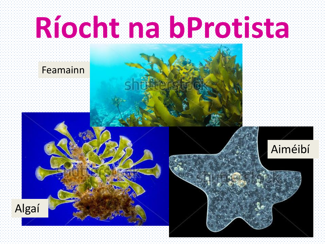# **Ríocht na bProtista**

#### Feamainn



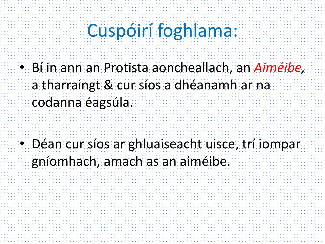### Cuspóirí foghlama:

• Bí in ann an Protista aoncheallach, an *Aiméibe,* a tharraingt & cur síos a dhéanamh ar na codanna éagsúla.

• Déan cur síos ar ghluaiseacht uisce, trí iompar gníomhach, amach as an aiméibe.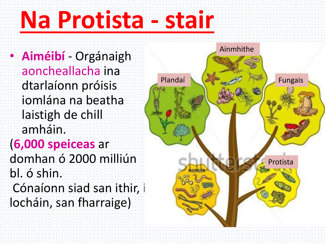## **Na Protista - stair**

• **Aiméibí** - Orgánaigh aoncheallacha ina dtarlaíonn próisis iomlána na beatha laistigh de chill amháin. (**6,000 speiceas** ar domhan ó 2000 milliún bl. ó shin. Cónaíonn siad san ithir, i locháin, san fharraige)

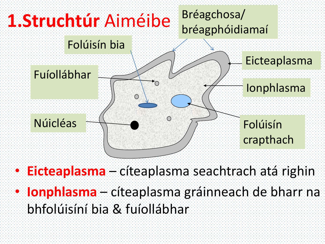

• **Eicteaplasma** – cíteaplasma seachtrach atá righin • **Ionphlasma** – cíteaplasma gráinneach de bharr na bhfolúisíní bia & fuíollábhar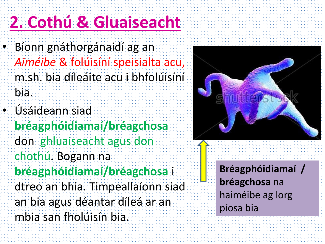### **2. Cothú & Gluaiseacht**

- Bíonn gnáthorgánaidí ag an *Aiméibe* & folúisíní speisialta acu, m.sh. bia díleáite acu i bhfolúisíní bia.
- Úsáideann siad **bréagphóidiamaí/bréagchosa** don ghluaiseacht agus don chothú. Bogann na **bréagphóidiamaí/bréagchosa** i dtreo an bhia. Timpeallaíonn siad an bia agus déantar díleá ar an mbia san fholúisín bia.



**Bréagphóidiamaí / bréagchosa** na haiméibe ag lorg píosa bia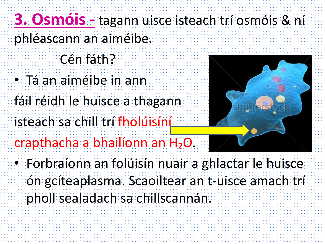- **3. Osmóis -** tagann uisce isteach trí osmóis & ní phléascann an aiméibe.
	- Cén fáth?
- Tá an aiméibe in ann
- fáil réidh le huisce a thagann
- isteach sa chill trí fholúisíní
- crapthacha a bhailíonn an H₂O.



• Forbraíonn an folúisín nuair a ghlactar le huisce ón gcíteaplasma. Scaoiltear an t-uisce amach trí pholl sealadach sa chillscannán.